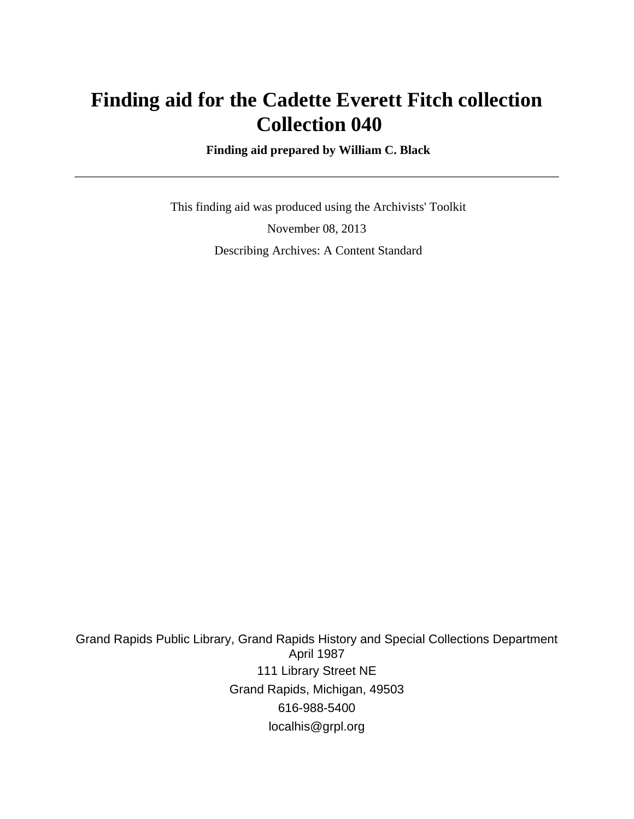# **Finding aid for the Cadette Everett Fitch collection Collection 040**

 **Finding aid prepared by William C. Black**

 This finding aid was produced using the Archivists' Toolkit November 08, 2013 Describing Archives: A Content Standard

Grand Rapids Public Library, Grand Rapids History and Special Collections Department April 1987 111 Library Street NE Grand Rapids, Michigan, 49503 616-988-5400 localhis@grpl.org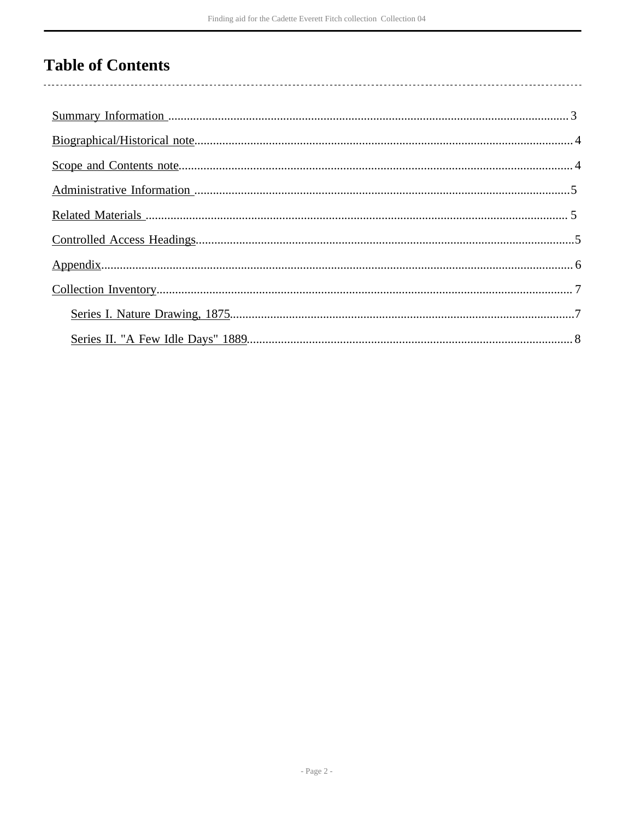# **Table of Contents**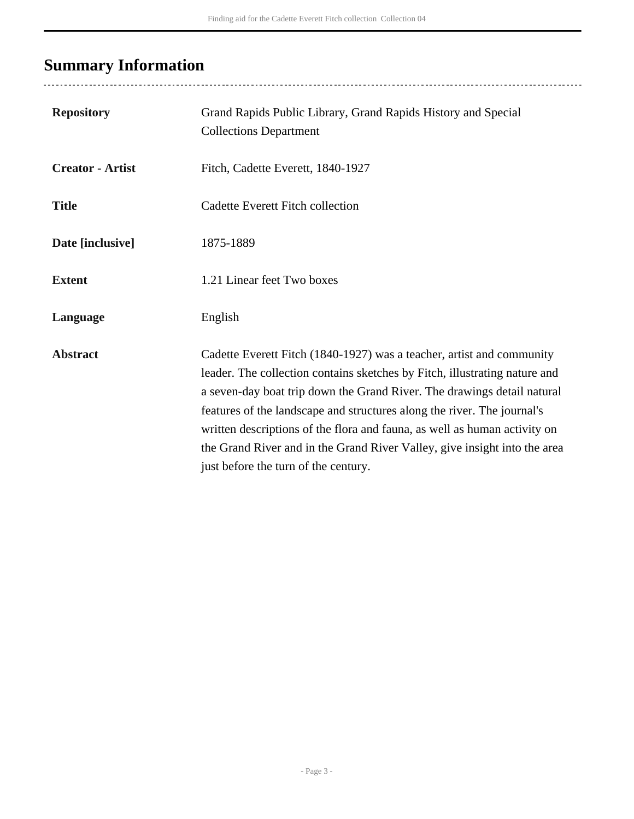# <span id="page-2-0"></span>**Summary Information**

...................................

| <b>Repository</b>       | Grand Rapids Public Library, Grand Rapids History and Special<br><b>Collections Department</b>                                                                                                                                                                                                                                                                                                                                                                                                              |
|-------------------------|-------------------------------------------------------------------------------------------------------------------------------------------------------------------------------------------------------------------------------------------------------------------------------------------------------------------------------------------------------------------------------------------------------------------------------------------------------------------------------------------------------------|
| <b>Creator - Artist</b> | Fitch, Cadette Everett, 1840-1927                                                                                                                                                                                                                                                                                                                                                                                                                                                                           |
| <b>Title</b>            | Cadette Everett Fitch collection                                                                                                                                                                                                                                                                                                                                                                                                                                                                            |
| Date [inclusive]        | 1875-1889                                                                                                                                                                                                                                                                                                                                                                                                                                                                                                   |
| <b>Extent</b>           | 1.21 Linear feet Two boxes                                                                                                                                                                                                                                                                                                                                                                                                                                                                                  |
| Language                | English                                                                                                                                                                                                                                                                                                                                                                                                                                                                                                     |
| <b>Abstract</b>         | Cadette Everett Fitch (1840-1927) was a teacher, artist and community<br>leader. The collection contains sketches by Fitch, illustrating nature and<br>a seven-day boat trip down the Grand River. The drawings detail natural<br>features of the landscape and structures along the river. The journal's<br>written descriptions of the flora and fauna, as well as human activity on<br>the Grand River and in the Grand River Valley, give insight into the area<br>just before the turn of the century. |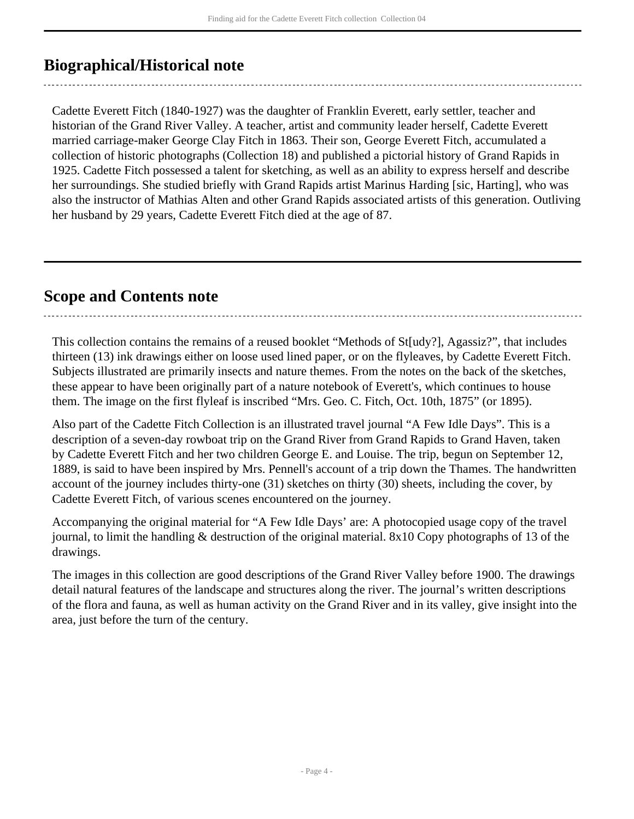## <span id="page-3-0"></span>**Biographical/Historical note**

Cadette Everett Fitch (1840-1927) was the daughter of Franklin Everett, early settler, teacher and historian of the Grand River Valley. A teacher, artist and community leader herself, Cadette Everett married carriage-maker George Clay Fitch in 1863. Their son, George Everett Fitch, accumulated a collection of historic photographs (Collection 18) and published a pictorial history of Grand Rapids in 1925. Cadette Fitch possessed a talent for sketching, as well as an ability to express herself and describe her surroundings. She studied briefly with Grand Rapids artist Marinus Harding [sic, Harting], who was also the instructor of Mathias Alten and other Grand Rapids associated artists of this generation. Outliving her husband by 29 years, Cadette Everett Fitch died at the age of 87.

### <span id="page-3-1"></span>**Scope and Contents note**

This collection contains the remains of a reused booklet "Methods of St[udy?], Agassiz?", that includes thirteen (13) ink drawings either on loose used lined paper, or on the flyleaves, by Cadette Everett Fitch. Subjects illustrated are primarily insects and nature themes. From the notes on the back of the sketches, these appear to have been originally part of a nature notebook of Everett's, which continues to house them. The image on the first flyleaf is inscribed "Mrs. Geo. C. Fitch, Oct. 10th, 1875" (or 1895).

Also part of the Cadette Fitch Collection is an illustrated travel journal "A Few Idle Days". This is a description of a seven-day rowboat trip on the Grand River from Grand Rapids to Grand Haven, taken by Cadette Everett Fitch and her two children George E. and Louise. The trip, begun on September 12, 1889, is said to have been inspired by Mrs. Pennell's account of a trip down the Thames. The handwritten account of the journey includes thirty-one (31) sketches on thirty (30) sheets, including the cover, by Cadette Everett Fitch, of various scenes encountered on the journey.

Accompanying the original material for "A Few Idle Days' are: A photocopied usage copy of the travel journal, to limit the handling & destruction of the original material. 8x10 Copy photographs of 13 of the drawings.

The images in this collection are good descriptions of the Grand River Valley before 1900. The drawings detail natural features of the landscape and structures along the river. The journal's written descriptions of the flora and fauna, as well as human activity on the Grand River and in its valley, give insight into the area, just before the turn of the century.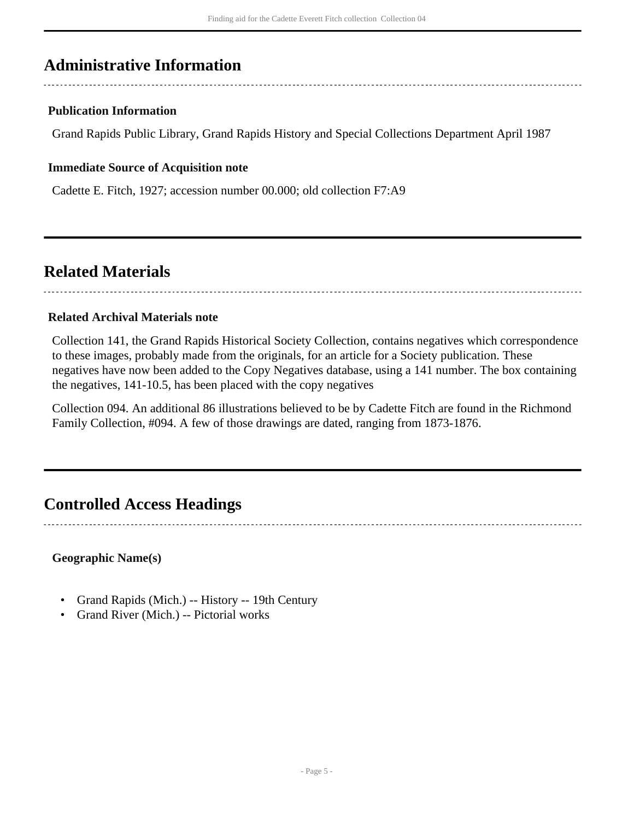## <span id="page-4-0"></span>**Administrative Information**

### **Publication Information**

Grand Rapids Public Library, Grand Rapids History and Special Collections Department April 1987

#### **Immediate Source of Acquisition note**

Cadette E. Fitch, 1927; accession number 00.000; old collection F7:A9

### <span id="page-4-1"></span>**Related Materials**

#### **Related Archival Materials note**

Collection 141, the Grand Rapids Historical Society Collection, contains negatives which correspondence to these images, probably made from the originals, for an article for a Society publication. These negatives have now been added to the Copy Negatives database, using a 141 number. The box containing the negatives, 141-10.5, has been placed with the copy negatives

Collection 094. An additional 86 illustrations believed to be by Cadette Fitch are found in the Richmond Family Collection, #094. A few of those drawings are dated, ranging from 1873-1876.

### <span id="page-4-2"></span>**Controlled Access Headings**

### **Geographic Name(s)**

- Grand Rapids (Mich.) -- History -- 19th Century
- Grand River (Mich.) -- Pictorial works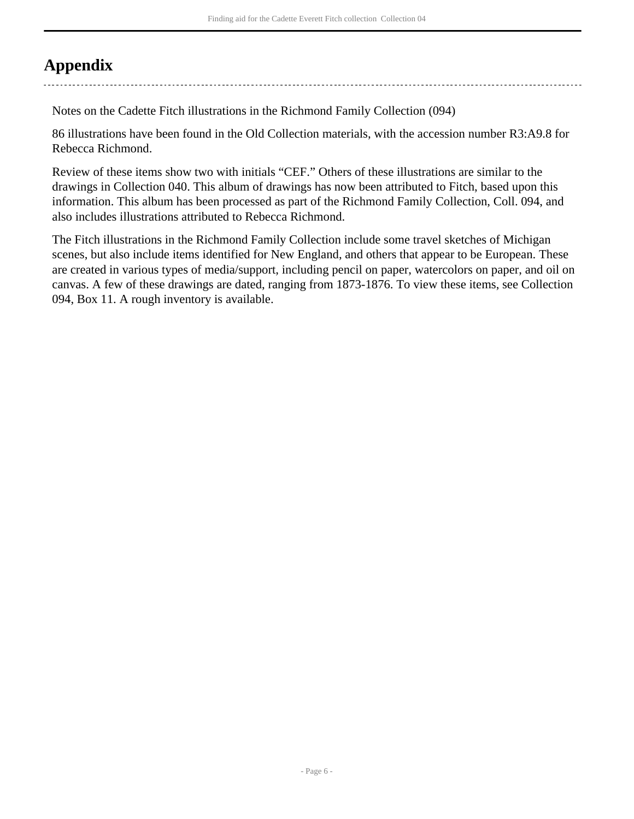# <span id="page-5-0"></span>**Appendix**

Notes on the Cadette Fitch illustrations in the Richmond Family Collection (094)

86 illustrations have been found in the Old Collection materials, with the accession number R3:A9.8 for Rebecca Richmond.

Review of these items show two with initials "CEF." Others of these illustrations are similar to the drawings in Collection 040. This album of drawings has now been attributed to Fitch, based upon this information. This album has been processed as part of the Richmond Family Collection, Coll. 094, and also includes illustrations attributed to Rebecca Richmond.

The Fitch illustrations in the Richmond Family Collection include some travel sketches of Michigan scenes, but also include items identified for New England, and others that appear to be European. These are created in various types of media/support, including pencil on paper, watercolors on paper, and oil on canvas. A few of these drawings are dated, ranging from 1873-1876. To view these items, see Collection 094, Box 11. A rough inventory is available.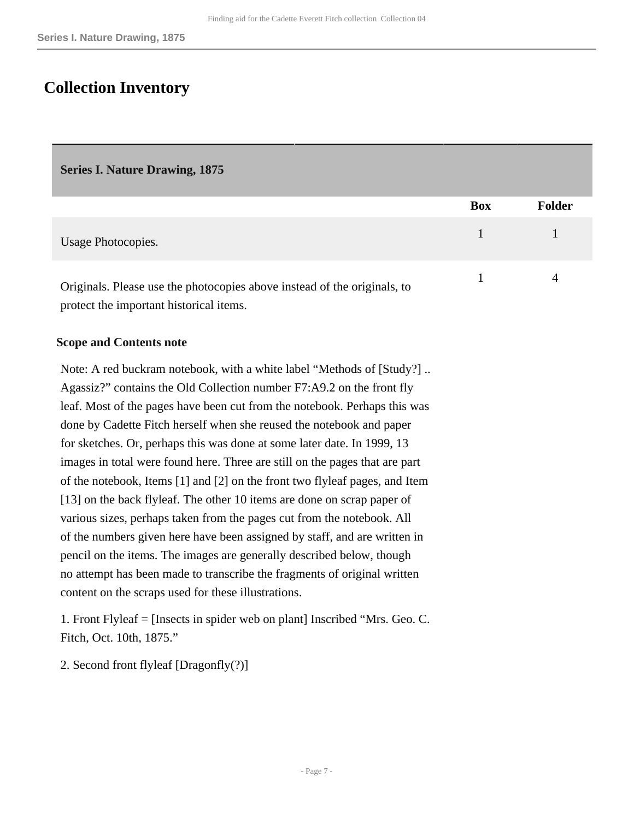## <span id="page-6-0"></span>**Collection Inventory**

#### <span id="page-6-1"></span>**Series I. Nature Drawing, 1875**

|                                                                          | <b>Box</b> | <b>Folder</b> |
|--------------------------------------------------------------------------|------------|---------------|
| Usage Photocopies.                                                       |            |               |
| Originals. Please use the photocopies above instead of the originals, to |            | 4             |
| protect the important historical items.                                  |            |               |

#### **Scope and Contents note**

Note: A red buckram notebook, with a white label "Methods of [Study?] .. Agassiz?" contains the Old Collection number F7:A9.2 on the front fly leaf. Most of the pages have been cut from the notebook. Perhaps this was done by Cadette Fitch herself when she reused the notebook and paper for sketches. Or, perhaps this was done at some later date. In 1999, 13 images in total were found here. Three are still on the pages that are part of the notebook, Items [1] and [2] on the front two flyleaf pages, and Item [13] on the back flyleaf. The other 10 items are done on scrap paper of various sizes, perhaps taken from the pages cut from the notebook. All of the numbers given here have been assigned by staff, and are written in pencil on the items. The images are generally described below, though no attempt has been made to transcribe the fragments of original written content on the scraps used for these illustrations.

1. Front Flyleaf = [Insects in spider web on plant] Inscribed "Mrs. Geo. C. Fitch, Oct. 10th, 1875."

2. Second front flyleaf [Dragonfly(?)]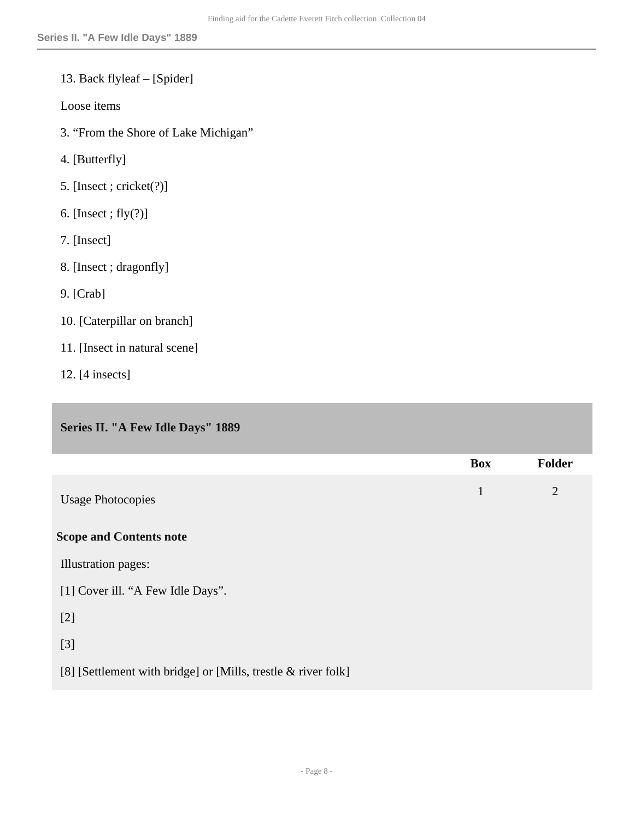### 13. Back flyleaf – [Spider]

Loose items

- 3. "From the Shore of Lake Michigan"
- 4. [Butterfly]
- 5. [Insect ; cricket(?)]
- 6. [Insect ; fly(?)]
- 7. [Insect]
- 8. [Insect ; dragonfly]
- 9. [Crab]
- 10. [Caterpillar on branch]
- 11. [Insect in natural scene]
- 12. [4 insects]

### <span id="page-7-0"></span>**Series II. "A Few Idle Days" 1889**

|                                                               | <b>Box</b>   | <b>Folder</b>  |
|---------------------------------------------------------------|--------------|----------------|
| <b>Usage Photocopies</b>                                      | $\mathbf{1}$ | $\overline{2}$ |
| <b>Scope and Contents note</b>                                |              |                |
| Illustration pages:                                           |              |                |
| [1] Cover ill. "A Few Idle Days".                             |              |                |
| $[2]$                                                         |              |                |
| $[3]$                                                         |              |                |
| [8] [Settlement with bridge] or [Mills, trestle & river folk] |              |                |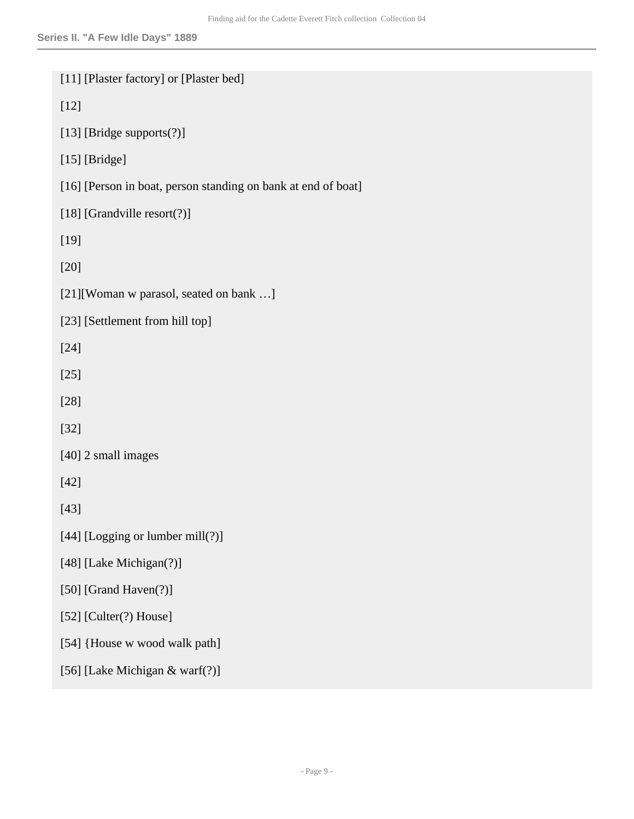```
[11] [Plaster factory] or [Plaster bed]
```
[12]

```
[13] [Bridge supports(?)]
```
[15] [Bridge]

[16] [Person in boat, person standing on bank at end of boat]

[18] [Grandville resort(?)]

[19]

[20]

```
[21][Woman w parasol, seated on bank ...]
```
[23] [Settlement from hill top]

[24]

[25]

[28]

[32]

[40] 2 small images

[42]

[43]

[44] [Logging or lumber mill(?)]

[48] [Lake Michigan(?)]

[50] [Grand Haven(?)]

```
[52] [Culter(?) House]
```
[54] {House w wood walk path]

[56] [Lake Michigan & warf(?)]